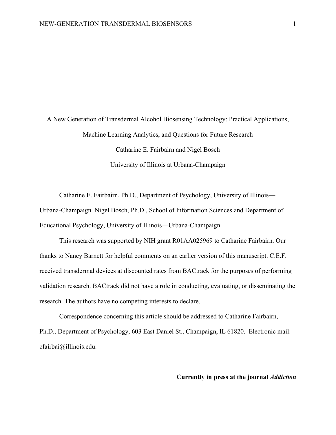A New Generation of Transdermal Alcohol Biosensing Technology: Practical Applications, Machine Learning Analytics, and Questions for Future Research Catharine E. Fairbairn and Nigel Bosch University of Illinois at Urbana-Champaign

Catharine E. Fairbairn, Ph.D., Department of Psychology, University of Illinois— Urbana-Champaign. Nigel Bosch, Ph.D., School of Information Sciences and Department of Educational Psychology, University of Illinois—Urbana-Champaign.

This research was supported by NIH grant R01AA025969 to Catharine Fairbairn. Our thanks to Nancy Barnett for helpful comments on an earlier version of this manuscript. C.E.F. received transdermal devices at discounted rates from BACtrack for the purposes of performing validation research. BACtrack did not have a role in conducting, evaluating, or disseminating the research. The authors have no competing interests to declare.

Correspondence concerning this article should be addressed to Catharine Fairbairn, Ph.D., Department of Psychology, 603 East Daniel St., Champaign, IL 61820. Electronic mail: cfairbai@illinois.edu.

#### **Currently in press at the journal** *Addiction*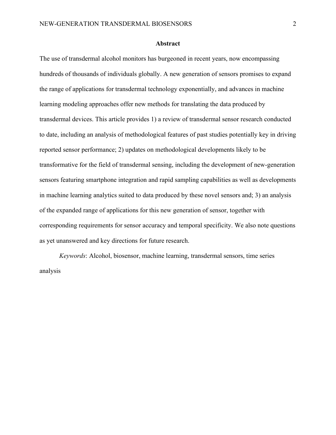### **Abstract**

The use of transdermal alcohol monitors has burgeoned in recent years, now encompassing hundreds of thousands of individuals globally. A new generation of sensors promises to expand the range of applications for transdermal technology exponentially, and advances in machine learning modeling approaches offer new methods for translating the data produced by transdermal devices. This article provides 1) a review of transdermal sensor research conducted to date, including an analysis of methodological features of past studies potentially key in driving reported sensor performance; 2) updates on methodological developments likely to be transformative for the field of transdermal sensing, including the development of new-generation sensors featuring smartphone integration and rapid sampling capabilities as well as developments in machine learning analytics suited to data produced by these novel sensors and; 3) an analysis of the expanded range of applications for this new generation of sensor, together with corresponding requirements for sensor accuracy and temporal specificity. We also note questions as yet unanswered and key directions for future research.

*Keywords*: Alcohol, biosensor, machine learning, transdermal sensors, time series analysis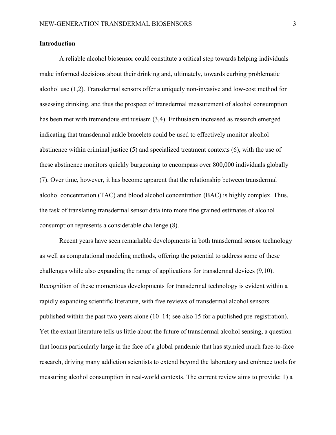# **Introduction**

A reliable alcohol biosensor could constitute a critical step towards helping individuals make informed decisions about their drinking and, ultimately, towards curbing problematic alcohol use (1,2). Transdermal sensors offer a uniquely non-invasive and low-cost method for assessing drinking, and thus the prospect of transdermal measurement of alcohol consumption has been met with tremendous enthusiasm (3,4). Enthusiasm increased as research emerged indicating that transdermal ankle bracelets could be used to effectively monitor alcohol abstinence within criminal justice (5) and specialized treatment contexts (6), with the use of these abstinence monitors quickly burgeoning to encompass over 800,000 individuals globally (7). Over time, however, it has become apparent that the relationship between transdermal alcohol concentration (TAC) and blood alcohol concentration (BAC) is highly complex. Thus, the task of translating transdermal sensor data into more fine grained estimates of alcohol consumption represents a considerable challenge (8).

Recent years have seen remarkable developments in both transdermal sensor technology as well as computational modeling methods, offering the potential to address some of these challenges while also expanding the range of applications for transdermal devices (9,10). Recognition of these momentous developments for transdermal technology is evident within a rapidly expanding scientific literature, with five reviews of transdermal alcohol sensors published within the past two years alone (10–14; see also 15 for a published pre-registration). Yet the extant literature tells us little about the future of transdermal alcohol sensing, a question that looms particularly large in the face of a global pandemic that has stymied much face-to-face research, driving many addiction scientists to extend beyond the laboratory and embrace tools for measuring alcohol consumption in real-world contexts. The current review aims to provide: 1) a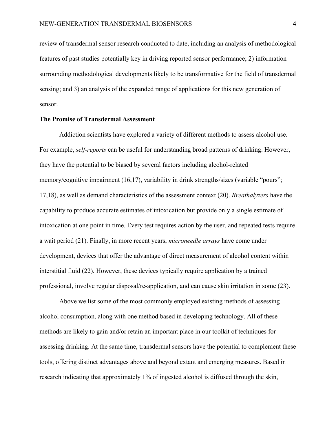review of transdermal sensor research conducted to date, including an analysis of methodological features of past studies potentially key in driving reported sensor performance; 2) information surrounding methodological developments likely to be transformative for the field of transdermal sensing; and 3) an analysis of the expanded range of applications for this new generation of sensor.

### **The Promise of Transdermal Assessment**

Addiction scientists have explored a variety of different methods to assess alcohol use. For example, *self-reports* can be useful for understanding broad patterns of drinking. However, they have the potential to be biased by several factors including alcohol-related memory/cognitive impairment (16,17), variability in drink strengths/sizes (variable "pours"; 17,18), as well as demand characteristics of the assessment context (20). *Breathalyzers* have the capability to produce accurate estimates of intoxication but provide only a single estimate of intoxication at one point in time. Every test requires action by the user, and repeated tests require a wait period (21). Finally, in more recent years, *microneedle arrays* have come under development, devices that offer the advantage of direct measurement of alcohol content within interstitial fluid (22). However, these devices typically require application by a trained professional, involve regular disposal/re-application, and can cause skin irritation in some (23).

Above we list some of the most commonly employed existing methods of assessing alcohol consumption, along with one method based in developing technology. All of these methods are likely to gain and/or retain an important place in our toolkit of techniques for assessing drinking. At the same time, transdermal sensors have the potential to complement these tools, offering distinct advantages above and beyond extant and emerging measures. Based in research indicating that approximately 1% of ingested alcohol is diffused through the skin,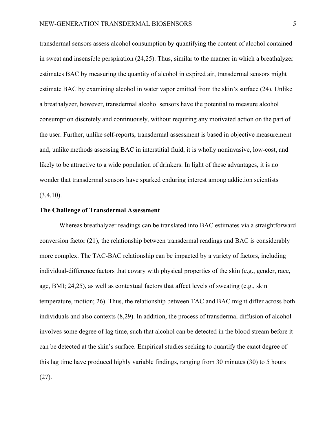transdermal sensors assess alcohol consumption by quantifying the content of alcohol contained in sweat and insensible perspiration (24,25). Thus, similar to the manner in which a breathalyzer estimates BAC by measuring the quantity of alcohol in expired air, transdermal sensors might estimate BAC by examining alcohol in water vapor emitted from the skin's surface (24). Unlike a breathalyzer, however, transdermal alcohol sensors have the potential to measure alcohol consumption discretely and continuously, without requiring any motivated action on the part of the user. Further, unlike self-reports, transdermal assessment is based in objective measurement and, unlike methods assessing BAC in interstitial fluid, it is wholly noninvasive, low-cost, and likely to be attractive to a wide population of drinkers. In light of these advantages, it is no wonder that transdermal sensors have sparked enduring interest among addiction scientists  $(3,4,10)$ .

#### **The Challenge of Transdermal Assessment**

Whereas breathalyzer readings can be translated into BAC estimates via a straightforward conversion factor (21), the relationship between transdermal readings and BAC is considerably more complex. The TAC-BAC relationship can be impacted by a variety of factors, including individual-difference factors that covary with physical properties of the skin (e.g., gender, race, age, BMI; 24,25), as well as contextual factors that affect levels of sweating (e.g., skin temperature, motion; 26). Thus, the relationship between TAC and BAC might differ across both individuals and also contexts (8,29). In addition, the process of transdermal diffusion of alcohol involves some degree of lag time, such that alcohol can be detected in the blood stream before it can be detected at the skin's surface. Empirical studies seeking to quantify the exact degree of this lag time have produced highly variable findings, ranging from 30 minutes (30) to 5 hours (27).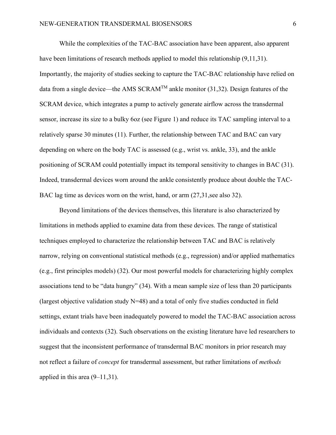While the complexities of the TAC-BAC association have been apparent, also apparent have been limitations of research methods applied to model this relationship (9,11,31). Importantly, the majority of studies seeking to capture the TAC-BAC relationship have relied on data from a single device—the AMS SCRAM<sup>TM</sup> ankle monitor (31,32). Design features of the SCRAM device, which integrates a pump to actively generate airflow across the transdermal sensor, increase its size to a bulky 6oz (see Figure 1) and reduce its TAC sampling interval to a relatively sparse 30 minutes (11). Further, the relationship between TAC and BAC can vary depending on where on the body TAC is assessed (e.g., wrist vs. ankle, 33), and the ankle positioning of SCRAM could potentially impact its temporal sensitivity to changes in BAC (31). Indeed, transdermal devices worn around the ankle consistently produce about double the TAC-BAC lag time as devices worn on the wrist, hand, or arm (27,31,see also 32).

Beyond limitations of the devices themselves, this literature is also characterized by limitations in methods applied to examine data from these devices. The range of statistical techniques employed to characterize the relationship between TAC and BAC is relatively narrow, relying on conventional statistical methods (e.g., regression) and/or applied mathematics (e.g., first principles models) (32). Our most powerful models for characterizing highly complex associations tend to be "data hungry" (34). With a mean sample size of less than 20 participants (largest objective validation study  $N=48$ ) and a total of only five studies conducted in field settings, extant trials have been inadequately powered to model the TAC-BAC association across individuals and contexts (32). Such observations on the existing literature have led researchers to suggest that the inconsistent performance of transdermal BAC monitors in prior research may not reflect a failure of *concept* for transdermal assessment, but rather limitations of *methods*  applied in this area  $(9-11,31)$ .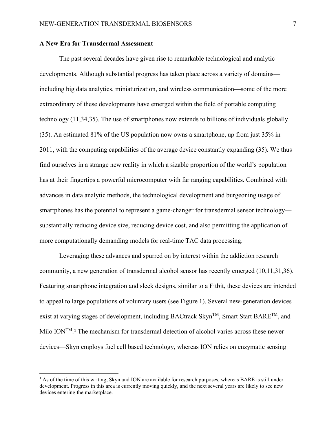# **A New Era for Transdermal Assessment**

The past several decades have given rise to remarkable technological and analytic developments. Although substantial progress has taken place across a variety of domains including big data analytics, miniaturization, and wireless communication—some of the more extraordinary of these developments have emerged within the field of portable computing technology (11,34,35). The use of smartphones now extends to billions of individuals globally (35). An estimated 81% of the US population now owns a smartphone, up from just 35% in 2011, with the computing capabilities of the average device constantly expanding (35). We thus find ourselves in a strange new reality in which a sizable proportion of the world's population has at their fingertips a powerful microcomputer with far ranging capabilities. Combined with advances in data analytic methods, the technological development and burgeoning usage of smartphones has the potential to represent a game-changer for transdermal sensor technology substantially reducing device size, reducing device cost, and also permitting the application of more computationally demanding models for real-time TAC data processing.

Leveraging these advances and spurred on by interest within the addiction research community, a new generation of transdermal alcohol sensor has recently emerged (10,11,31,36). Featuring smartphone integration and sleek designs, similar to a Fitbit, these devices are intended to appeal to large populations of voluntary users (see Figure 1). Several new-generation devices exist at varying stages of development, including BACtrack Skyn<sup>TM</sup>, Smart Start BARE<sup>TM</sup>, and Milo ION<sup>TM</sup>.<sup>[1](#page-26-0)</sup> The mechanism for transdermal detection of alcohol varies across these newer devices—Skyn employs fuel cell based technology, whereas ION relies on enzymatic sensing

<sup>&</sup>lt;sup>1</sup> As of the time of this writing, Skyn and ION are available for research purposes, whereas BARE is still under development. Progress in this area is currently moving quickly, and the next several years are likely to see new devices entering the marketplace.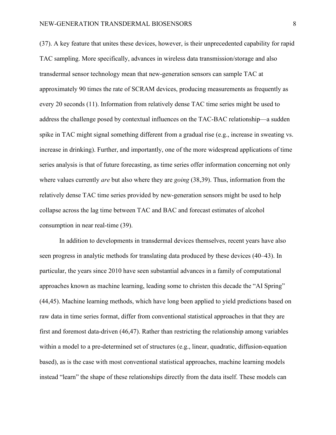(37). A key feature that unites these devices, however, is their unprecedented capability for rapid TAC sampling. More specifically, advances in wireless data transmission/storage and also transdermal sensor technology mean that new-generation sensors can sample TAC at approximately 90 times the rate of SCRAM devices, producing measurements as frequently as every 20 seconds (11). Information from relatively dense TAC time series might be used to address the challenge posed by contextual influences on the TAC-BAC relationship—a sudden spike in TAC might signal something different from a gradual rise (e.g., increase in sweating vs. increase in drinking). Further, and importantly, one of the more widespread applications of time series analysis is that of future forecasting, as time series offer information concerning not only where values currently *are* but also where they are *going* (38,39). Thus, information from the relatively dense TAC time series provided by new-generation sensors might be used to help collapse across the lag time between TAC and BAC and forecast estimates of alcohol consumption in near real-time (39).

In addition to developments in transdermal devices themselves, recent years have also seen progress in analytic methods for translating data produced by these devices (40–43). In particular, the years since 2010 have seen substantial advances in a family of computational approaches known as machine learning, leading some to christen this decade the "AI Spring" (44,45). Machine learning methods, which have long been applied to yield predictions based on raw data in time series format, differ from conventional statistical approaches in that they are first and foremost data-driven (46,47). Rather than restricting the relationship among variables within a model to a pre-determined set of structures (e.g., linear, quadratic, diffusion-equation based), as is the case with most conventional statistical approaches, machine learning models instead "learn" the shape of these relationships directly from the data itself. These models can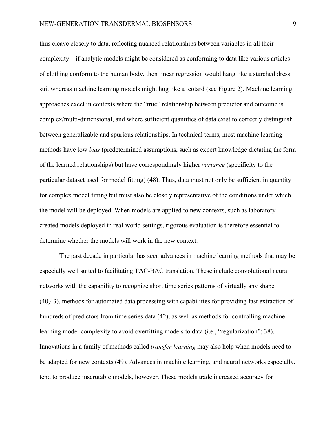thus cleave closely to data, reflecting nuanced relationships between variables in all their complexity—if analytic models might be considered as conforming to data like various articles of clothing conform to the human body, then linear regression would hang like a starched dress suit whereas machine learning models might hug like a leotard (see Figure 2). Machine learning approaches excel in contexts where the "true" relationship between predictor and outcome is complex/multi-dimensional, and where sufficient quantities of data exist to correctly distinguish between generalizable and spurious relationships. In technical terms, most machine learning methods have low *bias* (predetermined assumptions, such as expert knowledge dictating the form of the learned relationships) but have correspondingly higher *variance* (specificity to the particular dataset used for model fitting) (48). Thus, data must not only be sufficient in quantity for complex model fitting but must also be closely representative of the conditions under which the model will be deployed. When models are applied to new contexts, such as laboratorycreated models deployed in real-world settings, rigorous evaluation is therefore essential to determine whether the models will work in the new context.

The past decade in particular has seen advances in machine learning methods that may be especially well suited to facilitating TAC-BAC translation. These include convolutional neural networks with the capability to recognize short time series patterns of virtually any shape (40,43), methods for automated data processing with capabilities for providing fast extraction of hundreds of predictors from time series data (42), as well as methods for controlling machine learning model complexity to avoid overfitting models to data (i.e., "regularization"; 38). Innovations in a family of methods called *transfer learning* may also help when models need to be adapted for new contexts (49). Advances in machine learning, and neural networks especially, tend to produce inscrutable models, however. These models trade increased accuracy for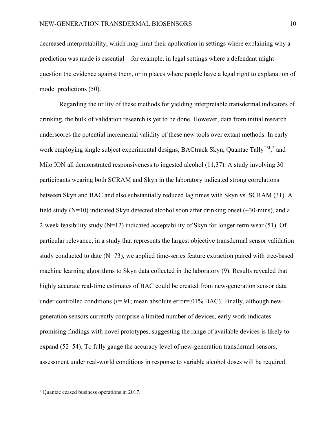decreased interpretability, which may limit their application in settings where explaining why a prediction was made is essential—for example, in legal settings where a defendant might question the evidence against them, or in places where people have a legal right to explanation of model predictions (50).

Regarding the utility of these methods for yielding interpretable transdermal indicators of drinking, the bulk of validation research is yet to be done. However, data from initial research underscores the potential incremental validity of these new tools over extant methods. In early work employing single subject experimental designs, BACtrack Skyn, Quantac Tally<sup>TM</sup>,<sup>[2](#page-26-1)</sup> and Milo ION all demonstrated responsiveness to ingested alcohol (11,37). A study involving 30 participants wearing both SCRAM and Skyn in the laboratory indicated strong correlations between Skyn and BAC and also substantially reduced lag times with Skyn vs. SCRAM (31). A field study  $(N=10)$  indicated Skyn detected alcohol soon after drinking onset ( $\sim$ 30-mins), and a 2-week feasibility study  $(N=12)$  indicated acceptability of Skyn for longer-term wear (51). Of particular relevance, in a study that represents the largest objective transdermal sensor validation study conducted to date  $(N=73)$ , we applied time-series feature extraction paired with tree-based machine learning algorithms to Skyn data collected in the laboratory (9). Results revealed that highly accurate real-time estimates of BAC could be created from new-generation sensor data under controlled conditions ( $r=91$ ; mean absolute error=.01% BAC). Finally, although newgeneration sensors currently comprise a limited number of devices, early work indicates promising findings with novel prototypes, suggesting the range of available devices is likely to expand (52–54). To fully gauge the accuracy level of new-generation transdermal sensors, assessment under real-world conditions in response to variable alcohol doses will be required.

<sup>2</sup> Quantac ceased business operations in 2017.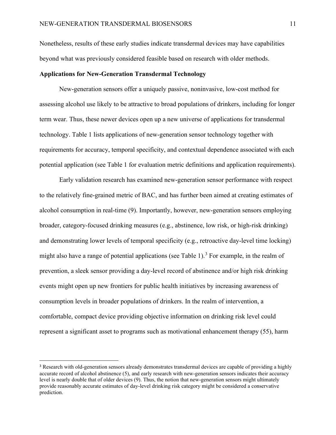Nonetheless, results of these early studies indicate transdermal devices may have capabilities beyond what was previously considered feasible based on research with older methods.

### **Applications for New-Generation Transdermal Technology**

New-generation sensors offer a uniquely passive, noninvasive, low-cost method for assessing alcohol use likely to be attractive to broad populations of drinkers, including for longer term wear. Thus, these newer devices open up a new universe of applications for transdermal technology. Table 1 lists applications of new-generation sensor technology together with requirements for accuracy, temporal specificity, and contextual dependence associated with each potential application (see Table 1 for evaluation metric definitions and application requirements).

Early validation research has examined new-generation sensor performance with respect to the relatively fine-grained metric of BAC, and has further been aimed at creating estimates of alcohol consumption in real-time (9). Importantly, however, new-generation sensors employing broader, category-focused drinking measures (e.g., abstinence, low risk, or high-risk drinking) and demonstrating lower levels of temporal specificity (e.g., retroactive day-level time locking) might also have a range of potential applications (see Table 1).<sup>[3](#page-26-2)</sup> For example, in the realm of prevention, a sleek sensor providing a day-level record of abstinence and/or high risk drinking events might open up new frontiers for public health initiatives by increasing awareness of consumption levels in broader populations of drinkers. In the realm of intervention, a comfortable, compact device providing objective information on drinking risk level could represent a significant asset to programs such as motivational enhancement therapy (55), harm

<sup>&</sup>lt;sup>3</sup> Research with old-generation sensors already demonstrates transdermal devices are capable of providing a highly accurate record of alcohol abstinence (5), and early research with new-generation sensors indicates their accuracy level is nearly double that of older devices (9). Thus, the notion that new-generation sensors might ultimately provide reasonably accurate estimates of day-level drinking risk category might be considered a conservative prediction.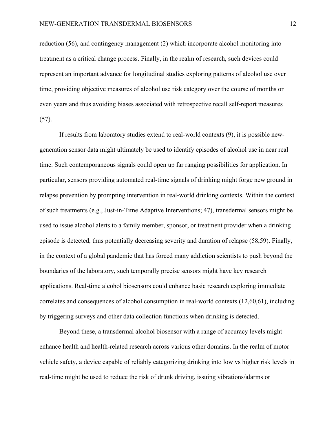reduction (56), and contingency management (2) which incorporate alcohol monitoring into treatment as a critical change process. Finally, in the realm of research, such devices could represent an important advance for longitudinal studies exploring patterns of alcohol use over time, providing objective measures of alcohol use risk category over the course of months or even years and thus avoiding biases associated with retrospective recall self-report measures (57).

If results from laboratory studies extend to real-world contexts (9), it is possible newgeneration sensor data might ultimately be used to identify episodes of alcohol use in near real time. Such contemporaneous signals could open up far ranging possibilities for application. In particular, sensors providing automated real-time signals of drinking might forge new ground in relapse prevention by prompting intervention in real-world drinking contexts. Within the context of such treatments (e.g., Just-in-Time Adaptive Interventions; 47), transdermal sensors might be used to issue alcohol alerts to a family member, sponsor, or treatment provider when a drinking episode is detected, thus potentially decreasing severity and duration of relapse (58,59). Finally, in the context of a global pandemic that has forced many addiction scientists to push beyond the boundaries of the laboratory, such temporally precise sensors might have key research applications. Real-time alcohol biosensors could enhance basic research exploring immediate correlates and consequences of alcohol consumption in real-world contexts (12,60,61), including by triggering surveys and other data collection functions when drinking is detected.

Beyond these, a transdermal alcohol biosensor with a range of accuracy levels might enhance health and health-related research across various other domains. In the realm of motor vehicle safety, a device capable of reliably categorizing drinking into low vs higher risk levels in real-time might be used to reduce the risk of drunk driving, issuing vibrations/alarms or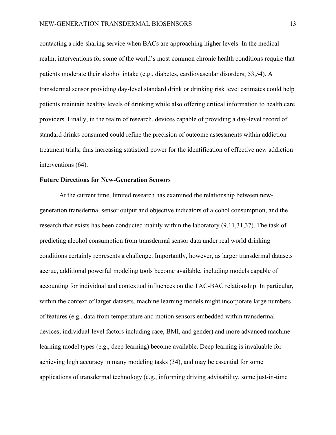contacting a ride-sharing service when BACs are approaching higher levels. In the medical realm, interventions for some of the world's most common chronic health conditions require that patients moderate their alcohol intake (e.g., diabetes, cardiovascular disorders; 53,54). A transdermal sensor providing day-level standard drink or drinking risk level estimates could help patients maintain healthy levels of drinking while also offering critical information to health care providers. Finally, in the realm of research, devices capable of providing a day-level record of standard drinks consumed could refine the precision of outcome assessments within addiction treatment trials, thus increasing statistical power for the identification of effective new addiction interventions (64).

# **Future Directions for New-Generation Sensors**

At the current time, limited research has examined the relationship between newgeneration transdermal sensor output and objective indicators of alcohol consumption, and the research that exists has been conducted mainly within the laboratory (9,11,31,37). The task of predicting alcohol consumption from transdermal sensor data under real world drinking conditions certainly represents a challenge. Importantly, however, as larger transdermal datasets accrue, additional powerful modeling tools become available, including models capable of accounting for individual and contextual influences on the TAC-BAC relationship. In particular, within the context of larger datasets, machine learning models might incorporate large numbers of features (e.g., data from temperature and motion sensors embedded within transdermal devices; individual-level factors including race, BMI, and gender) and more advanced machine learning model types (e.g., deep learning) become available. Deep learning is invaluable for achieving high accuracy in many modeling tasks (34), and may be essential for some applications of transdermal technology (e.g., informing driving advisability, some just-in-time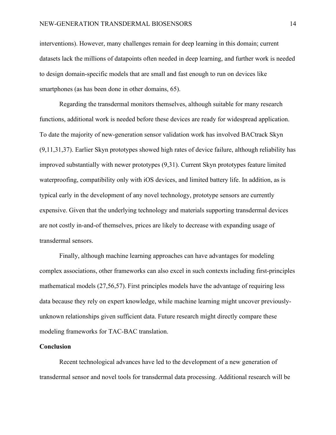interventions). However, many challenges remain for deep learning in this domain; current datasets lack the millions of datapoints often needed in deep learning, and further work is needed to design domain-specific models that are small and fast enough to run on devices like smartphones (as has been done in other domains, 65).

Regarding the transdermal monitors themselves, although suitable for many research functions, additional work is needed before these devices are ready for widespread application. To date the majority of new-generation sensor validation work has involved BACtrack Skyn (9,11,31,37). Earlier Skyn prototypes showed high rates of device failure, although reliability has improved substantially with newer prototypes (9,31). Current Skyn prototypes feature limited waterproofing, compatibility only with iOS devices, and limited battery life. In addition, as is typical early in the development of any novel technology, prototype sensors are currently expensive. Given that the underlying technology and materials supporting transdermal devices are not costly in-and-of themselves, prices are likely to decrease with expanding usage of transdermal sensors.

Finally, although machine learning approaches can have advantages for modeling complex associations, other frameworks can also excel in such contexts including first-principles mathematical models (27,56,57). First principles models have the advantage of requiring less data because they rely on expert knowledge, while machine learning might uncover previouslyunknown relationships given sufficient data. Future research might directly compare these modeling frameworks for TAC-BAC translation.

## **Conclusion**

Recent technological advances have led to the development of a new generation of transdermal sensor and novel tools for transdermal data processing. Additional research will be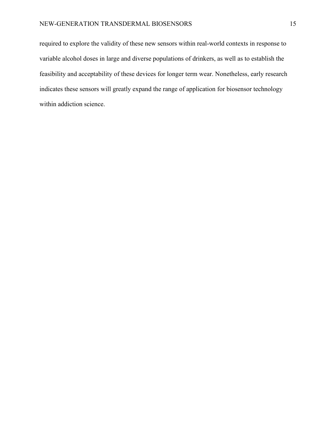required to explore the validity of these new sensors within real-world contexts in response to variable alcohol doses in large and diverse populations of drinkers, as well as to establish the feasibility and acceptability of these devices for longer term wear. Nonetheless, early research indicates these sensors will greatly expand the range of application for biosensor technology within addiction science.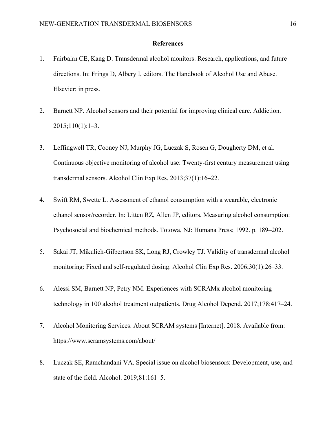## **References**

- 1. Fairbairn CE, Kang D. Transdermal alcohol monitors: Research, applications, and future directions. In: Frings D, Albery I, editors. The Handbook of Alcohol Use and Abuse. Elsevier; in press.
- 2. Barnett NP. Alcohol sensors and their potential for improving clinical care. Addiction. 2015;110(1):1–3.
- 3. Leffingwell TR, Cooney NJ, Murphy JG, Luczak S, Rosen G, Dougherty DM, et al. Continuous objective monitoring of alcohol use: Twenty-first century measurement using transdermal sensors. Alcohol Clin Exp Res. 2013;37(1):16–22.
- 4. Swift RM, Swette L. Assessment of ethanol consumption with a wearable, electronic ethanol sensor/recorder. In: Litten RZ, Allen JP, editors. Measuring alcohol consumption: Psychosocial and biochemical methods. Totowa, NJ: Humana Press; 1992. p. 189–202.
- 5. Sakai JT, Mikulich-Gilbertson SK, Long RJ, Crowley TJ. Validity of transdermal alcohol monitoring: Fixed and self-regulated dosing. Alcohol Clin Exp Res. 2006;30(1):26–33.
- 6. Alessi SM, Barnett NP, Petry NM. Experiences with SCRAMx alcohol monitoring technology in 100 alcohol treatment outpatients. Drug Alcohol Depend. 2017;178:417–24.
- 7. Alcohol Monitoring Services. About SCRAM systems [Internet]. 2018. Available from: https://www.scramsystems.com/about/
- 8. Luczak SE, Ramchandani VA. Special issue on alcohol biosensors: Development, use, and state of the field. Alcohol. 2019;81:161–5.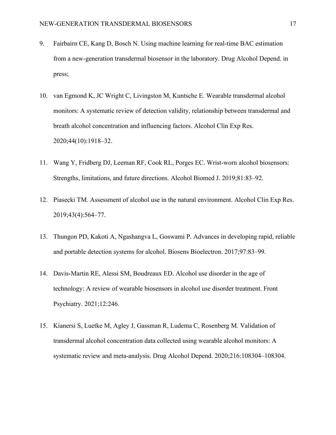- 9. Fairbairn CE, Kang D, Bosch N. Using machine learning for real-time BAC estimation from a new-generation transdermal biosensor in the laboratory. Drug Alcohol Depend. in press;
- 10. van Egmond K, JC Wright C, Livingston M, Kuntsche E. Wearable transdermal alcohol monitors: A systematic review of detection validity, relationship between transdermal and breath alcohol concentration and influencing factors. Alcohol Clin Exp Res. 2020;44(10):1918–32.
- 11. Wang Y, Fridberg DJ, Leeman RF, Cook RL, Porges EC. Wrist-worn alcohol biosensors: Strengths, limitations, and future directions. Alcohol Biomed J. 2019;81:83–92.
- 12. Piasecki TM. Assessment of alcohol use in the natural environment. Alcohol Clin Exp Res. 2019;43(4):564–77.
- 13. Thungon PD, Kakoti A, Ngashangva L, Goswami P. Advances in developing rapid, reliable and portable detection systems for alcohol. Biosens Bioelectron. 2017;97:83–99.
- 14. Davis-Martin RE, Alessi SM, Boudreaux ED. Alcohol use disorder in the age of technology: A review of wearable biosensors in alcohol use disorder treatment. Front Psychiatry. 2021;12:246.
- 15. Kianersi S, Luetke M, Agley J, Gassman R, Ludema C, Rosenberg M. Validation of transdermal alcohol concentration data collected using wearable alcohol monitors: A systematic review and meta-analysis. Drug Alcohol Depend. 2020;216:108304–108304.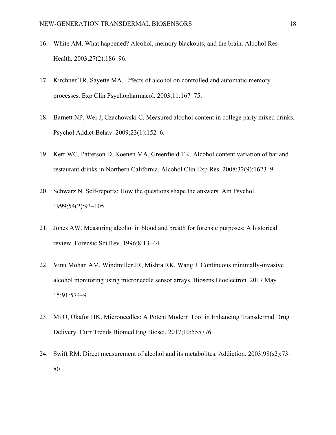- 16. White AM. What happened? Alcohol, memory blackouts, and the brain. Alcohol Res Health. 2003;27(2):186–96.
- 17. Kirchner TR, Sayette MA. Effects of alcohol on controlled and automatic memory processes. Exp Clin Psychopharmacol. 2003;11:167–75.
- 18. Barnett NP, Wei J, Czachowski C. Measured alcohol content in college party mixed drinks. Psychol Addict Behav. 2009;23(1):152–6.
- 19. Kerr WC, Patterson D, Koenen MA, Greenfield TK. Alcohol content variation of bar and restaurant drinks in Northern California. Alcohol Clin Exp Res. 2008;32(9):1623–9.
- 20. Schwarz N. Self-reports: How the questions shape the answers. Am Psychol. 1999;54(2):93–105.
- 21. Jones AW. Measuring alcohol in blood and breath for forensic purposes: A historical review. Forensic Sci Rev. 1996;8:13–44.
- 22. Vinu Mohan AM, Windmiller JR, Mishra RK, Wang J. Continuous minimally-invasive alcohol monitoring using microneedle sensor arrays. Biosens Bioelectron. 2017 May 15;91:574–9.
- 23. Mi O, Okafor HK. Microneedles: A Potent Modern Tool in Enhancing Transdermal Drug Delivery. Curr Trends Biomed Eng Biosci. 2017;10:555776.
- 24. Swift RM. Direct measurement of alcohol and its metabolites. Addiction. 2003;98(s2):73– 80.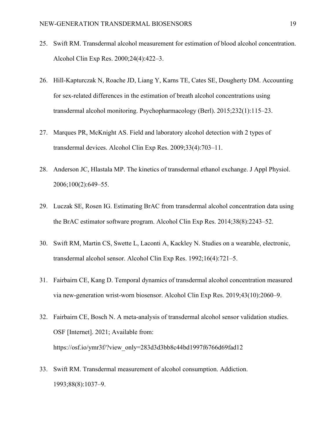- 25. Swift RM. Transdermal alcohol measurement for estimation of blood alcohol concentration. Alcohol Clin Exp Res. 2000;24(4):422–3.
- 26. Hill-Kapturczak N, Roache JD, Liang Y, Karns TE, Cates SE, Dougherty DM. Accounting for sex-related differences in the estimation of breath alcohol concentrations using transdermal alcohol monitoring. Psychopharmacology (Berl). 2015;232(1):115–23.
- 27. Marques PR, McKnight AS. Field and laboratory alcohol detection with 2 types of transdermal devices. Alcohol Clin Exp Res. 2009;33(4):703–11.
- 28. Anderson JC, Hlastala MP. The kinetics of transdermal ethanol exchange. J Appl Physiol. 2006;100(2):649–55.
- 29. Luczak SE, Rosen IG. Estimating BrAC from transdermal alcohol concentration data using the BrAC estimator software program. Alcohol Clin Exp Res. 2014;38(8):2243–52.
- 30. Swift RM, Martin CS, Swette L, Laconti A, Kackley N. Studies on a wearable, electronic, transdermal alcohol sensor. Alcohol Clin Exp Res. 1992;16(4):721–5.
- 31. Fairbairn CE, Kang D. Temporal dynamics of transdermal alcohol concentration measured via new-generation wrist-worn biosensor. Alcohol Clin Exp Res. 2019;43(10):2060–9.
- 32. Fairbairn CE, Bosch N. A meta-analysis of transdermal alcohol sensor validation studies. OSF [Internet]. 2021; Available from: https://osf.io/ymr3f/?view\_only=283d3d3bb8c44bd1997f6766d69fad12
- 33. Swift RM. Transdermal measurement of alcohol consumption. Addiction. 1993;88(8):1037–9.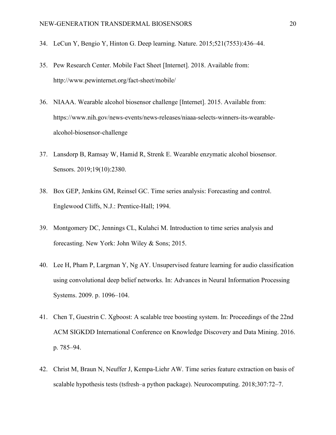- 34. LeCun Y, Bengio Y, Hinton G. Deep learning. Nature. 2015;521(7553):436–44.
- 35. Pew Research Center. Mobile Fact Sheet [Internet]. 2018. Available from: http://www.pewinternet.org/fact-sheet/mobile/
- 36. NIAAA. Wearable alcohol biosensor challenge [Internet]. 2015. Available from: https://www.nih.gov/news-events/news-releases/niaaa-selects-winners-its-wearablealcohol-biosensor-challenge
- 37. Lansdorp B, Ramsay W, Hamid R, Strenk E. Wearable enzymatic alcohol biosensor. Sensors. 2019;19(10):2380.
- 38. Box GEP, Jenkins GM, Reinsel GC. Time series analysis: Forecasting and control. Englewood Cliffs, N.J.: Prentice-Hall; 1994.
- 39. Montgomery DC, Jennings CL, Kulahci M. Introduction to time series analysis and forecasting. New York: John Wiley & Sons; 2015.
- 40. Lee H, Pham P, Largman Y, Ng AY. Unsupervised feature learning for audio classification using convolutional deep belief networks. In: Advances in Neural Information Processing Systems. 2009. p. 1096–104.
- 41. Chen T, Guestrin C. Xgboost: A scalable tree boosting system. In: Proceedings of the 22nd ACM SIGKDD International Conference on Knowledge Discovery and Data Mining. 2016. p. 785–94.
- 42. Christ M, Braun N, Neuffer J, Kempa-Liehr AW. Time series feature extraction on basis of scalable hypothesis tests (tsfresh–a python package). Neurocomputing. 2018;307:72–7.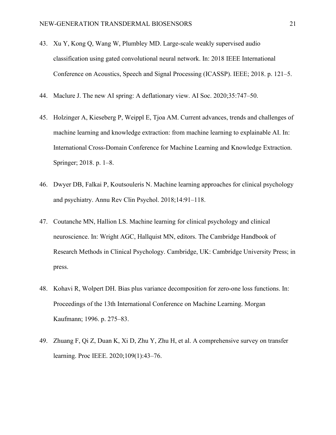- 43. Xu Y, Kong Q, Wang W, Plumbley MD. Large-scale weakly supervised audio classification using gated convolutional neural network. In: 2018 IEEE International Conference on Acoustics, Speech and Signal Processing (ICASSP). IEEE; 2018. p. 121–5.
- 44. Maclure J. The new AI spring: A deflationary view. AI Soc. 2020;35:747–50.
- 45. Holzinger A, Kieseberg P, Weippl E, Tjoa AM. Current advances, trends and challenges of machine learning and knowledge extraction: from machine learning to explainable AI. In: International Cross-Domain Conference for Machine Learning and Knowledge Extraction. Springer; 2018. p. 1–8.
- 46. Dwyer DB, Falkai P, Koutsouleris N. Machine learning approaches for clinical psychology and psychiatry. Annu Rev Clin Psychol. 2018;14:91–118.
- 47. Coutanche MN, Hallion LS. Machine learning for clinical psychology and clinical neuroscience. In: Wright AGC, Hallquist MN, editors. The Cambridge Handbook of Research Methods in Clinical Psychology. Cambridge, UK: Cambridge University Press; in press.
- 48. Kohavi R, Wolpert DH. Bias plus variance decomposition for zero-one loss functions. In: Proceedings of the 13th International Conference on Machine Learning. Morgan Kaufmann; 1996. p. 275–83.
- 49. Zhuang F, Qi Z, Duan K, Xi D, Zhu Y, Zhu H, et al. A comprehensive survey on transfer learning. Proc IEEE. 2020;109(1):43–76.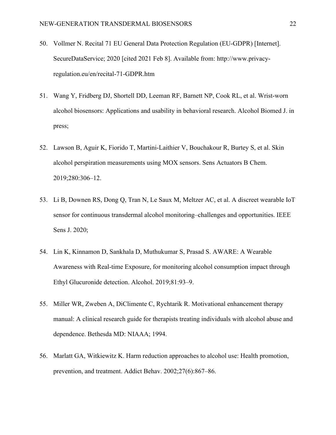- 50. Vollmer N. Recital 71 EU General Data Protection Regulation (EU-GDPR) [Internet]. SecureDataService; 2020 [cited 2021 Feb 8]. Available from: http://www.privacyregulation.eu/en/recital-71-GDPR.htm
- 51. Wang Y, Fridberg DJ, Shortell DD, Leeman RF, Barnett NP, Cook RL, et al. Wrist-worn alcohol biosensors: Applications and usability in behavioral research. Alcohol Biomed J. in press;
- 52. Lawson B, Aguir K, Fiorido T, Martini-Laithier V, Bouchakour R, Burtey S, et al. Skin alcohol perspiration measurements using MOX sensors. Sens Actuators B Chem. 2019;280:306–12.
- 53. Li B, Downen RS, Dong Q, Tran N, Le Saux M, Meltzer AC, et al. A discreet wearable IoT sensor for continuous transdermal alcohol monitoring–challenges and opportunities. IEEE Sens J. 2020;
- 54. Lin K, Kinnamon D, Sankhala D, Muthukumar S, Prasad S. AWARE: A Wearable Awareness with Real-time Exposure, for monitoring alcohol consumption impact through Ethyl Glucuronide detection. Alcohol. 2019;81:93–9.
- 55. Miller WR, Zweben A, DiClimente C, Rychtarik R. Motivational enhancement therapy manual: A clinical research guide for therapists treating individuals with alcohol abuse and dependence. Bethesda MD: NIAAA; 1994.
- 56. Marlatt GA, Witkiewitz K. Harm reduction approaches to alcohol use: Health promotion, prevention, and treatment. Addict Behav. 2002;27(6):867–86.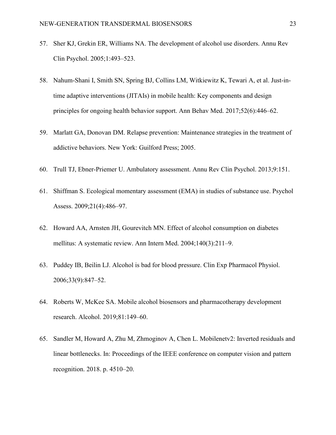- 57. Sher KJ, Grekin ER, Williams NA. The development of alcohol use disorders. Annu Rev Clin Psychol. 2005;1:493–523.
- 58. Nahum-Shani I, Smith SN, Spring BJ, Collins LM, Witkiewitz K, Tewari A, et al. Just-intime adaptive interventions (JITAIs) in mobile health: Key components and design principles for ongoing health behavior support. Ann Behav Med. 2017;52(6):446–62.
- 59. Marlatt GA, Donovan DM. Relapse prevention: Maintenance strategies in the treatment of addictive behaviors. New York: Guilford Press; 2005.
- 60. Trull TJ, Ebner-Priemer U. Ambulatory assessment. Annu Rev Clin Psychol. 2013;9:151.
- 61. Shiffman S. Ecological momentary assessment (EMA) in studies of substance use. Psychol Assess. 2009;21(4):486–97.
- 62. Howard AA, Arnsten JH, Gourevitch MN. Effect of alcohol consumption on diabetes mellitus: A systematic review. Ann Intern Med. 2004;140(3):211–9.
- 63. Puddey IB, Beilin LJ. Alcohol is bad for blood pressure. Clin Exp Pharmacol Physiol. 2006;33(9):847–52.
- 64. Roberts W, McKee SA. Mobile alcohol biosensors and pharmacotherapy development research. Alcohol. 2019;81:149–60.
- 65. Sandler M, Howard A, Zhu M, Zhmoginov A, Chen L. Mobilenetv2: Inverted residuals and linear bottlenecks. In: Proceedings of the IEEE conference on computer vision and pattern recognition. 2018. p. 4510–20.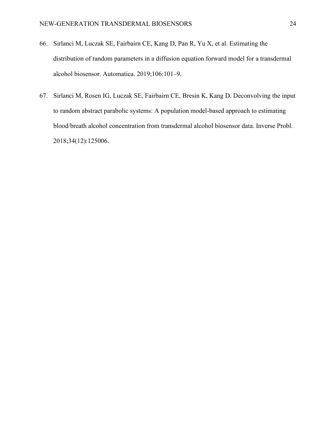- 66. Sirlanci M, Luczak SE, Fairbairn CE, Kang D, Pan R, Yu X, et al. Estimating the distribution of random parameters in a diffusion equation forward model for a transdermal alcohol biosensor. Automatica. 2019;106:101–9.
- 67. Sirlanci M, Rosen IG, Luczak SE, Fairbairn CE, Bresin K, Kang D. Deconvolving the input to random abstract parabolic systems: A population model-based approach to estimating blood/breath alcohol concentration from transdermal alcohol biosensor data. Inverse Probl. 2018;34(12):125006.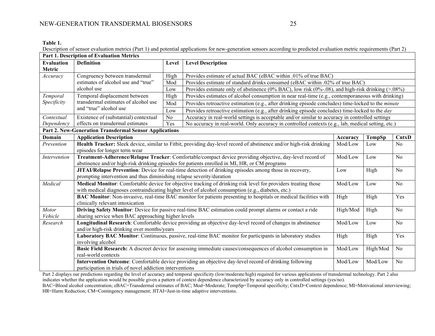**Table 1.**

Description of sensor evaluation metrics (Part 1) and potential applications for new-generation sensors according to predicted evaluation metric requirements (Part 2)

| Part 1. Description of Evaluation Metrics              |                                                                                                                                                                                                           |       |                                                                                                                     |          |        |                |
|--------------------------------------------------------|-----------------------------------------------------------------------------------------------------------------------------------------------------------------------------------------------------------|-------|---------------------------------------------------------------------------------------------------------------------|----------|--------|----------------|
| <b>Evaluation</b>                                      | <b>Definition</b>                                                                                                                                                                                         | Level | <b>Level Description</b>                                                                                            |          |        |                |
| Metric                                                 |                                                                                                                                                                                                           |       |                                                                                                                     |          |        |                |
| Accuracy                                               | Congruency between transdermal                                                                                                                                                                            | High  | Provides estimate of actual BAC (eBAC within .01% of true BAC)                                                      |          |        |                |
|                                                        | estimates of alcohol use and "true"                                                                                                                                                                       | Mod   | Provides estimate of standard drinks consumed (eBAC within .02% of true BAC)                                        |          |        |                |
|                                                        | alcohol use                                                                                                                                                                                               | Low   | Provides estimate only of abstinence (0% BAC), low risk (0%-.08), and high-risk drinking $(>0.08\%)$                |          |        |                |
| Temporal                                               | Temporal displacement between<br>transdermal estimates of alcohol use<br>and "true" alcohol use                                                                                                           | High  | Provides estimates of alcohol consumption in near real-time (e.g., contemporaneous with drinking)                   |          |        |                |
| Specificity                                            |                                                                                                                                                                                                           | Mod   | Provides retroactive estimation (e.g., after drinking episode concludes) time-locked to the <i>minute</i>           |          |        |                |
|                                                        |                                                                                                                                                                                                           | Low   | Provides retroactive estimation (e.g., after drinking episode concludes) time-locked to the day                     |          |        |                |
| Contextual                                             | Existence of (substantial) contextual                                                                                                                                                                     | No    | Accuracy in real-world settings is acceptable and/or similar to accuracy in controlled settings                     |          |        |                |
| Dependency                                             | effects on transdermal estimates                                                                                                                                                                          | Yes   | No accuracy in real-world. Only accuracy in controlled contexts (e.g., lab, medical setting, etc.)                  |          |        |                |
| Part 2. New-Generation Transdermal Sensor Applications |                                                                                                                                                                                                           |       |                                                                                                                     |          |        |                |
| Domain                                                 | <b>Application Description</b>                                                                                                                                                                            |       |                                                                                                                     | Accuracy | TempSp | CntxD          |
| Prevention                                             |                                                                                                                                                                                                           |       | Health Tracker: Sleek device, similar to Fitbit, providing day-level record of abstinence and/or high-risk drinking | Mod/Low  | Low    | N <sub>o</sub> |
|                                                        | episodes for longer term wear                                                                                                                                                                             |       |                                                                                                                     |          |        |                |
| Intervention                                           | Treatment-Adherence/Relapse Tracker: Comfortable/compact device providing objective, day-level record of<br>abstinence and/or high-risk drinking episodes for patients enrolled in MI, HR, or CM programs |       |                                                                                                                     | Mod/Low  | Low    | N <sub>o</sub> |
|                                                        |                                                                                                                                                                                                           |       |                                                                                                                     |          |        |                |
|                                                        | JITAI/Relapse Prevention: Device for real-time detection of drinking episodes among those in recovery,                                                                                                    |       |                                                                                                                     | Low      | High   | N <sub>o</sub> |
|                                                        | prompting intervention and thus diminishing relapse severity/duration                                                                                                                                     |       |                                                                                                                     |          |        |                |
| Medical                                                | Medical Monitor: Comfortable device for objective tracking of drinking risk level for providers treating those<br>Mod/Low<br>Low                                                                          |       |                                                                                                                     |          |        | N <sub>o</sub> |
|                                                        | with medical diagnoses contraindicating higher level of alcohol consumption (e.g., diabetes, etc.)<br>High                                                                                                |       |                                                                                                                     |          |        |                |
|                                                        | BAC Monitor: Non-invasive, real-time BAC monitor for patients presenting to hospitals or medical facilities with<br>High                                                                                  |       |                                                                                                                     |          |        | Yes            |
|                                                        | clinically relevant intoxication                                                                                                                                                                          |       |                                                                                                                     |          |        |                |
| Motor                                                  | Driving Safety Monitor: Device for passive real-time BAC estimation could prompt alarms or contact a ride<br>High/Mod<br>High<br>N <sub>o</sub>                                                           |       |                                                                                                                     |          |        |                |
| Vehicle                                                | sharing service when BAC approaching higher levels                                                                                                                                                        |       |                                                                                                                     |          |        |                |
| Research                                               | Longitudinal Research: Comfortable device providing an objective day-level record of changes in abstinence<br>No<br>Mod/Low<br>Low                                                                        |       |                                                                                                                     |          |        |                |
|                                                        | and/or high-risk drinking over months/years<br>High                                                                                                                                                       |       |                                                                                                                     |          |        |                |
|                                                        | Laboratory BAC Monitor: Continuous, passive, real-time BAC monitor for participants in laboratory studies                                                                                                 |       |                                                                                                                     |          | High   | Yes            |
|                                                        | involving alcohol                                                                                                                                                                                         |       |                                                                                                                     |          |        |                |
|                                                        | Basic Field Research: A discreet device for assessing immediate causes/consequences of alcohol consumption in<br>No<br>Mod/Low<br>High/Mod<br>real-world contexts                                         |       |                                                                                                                     |          |        |                |
|                                                        | Intervention Outcome: Comfortable device providing an objective day-level record of drinking following<br>Mod/Low<br>Mod/Low<br>N <sub>o</sub>                                                            |       |                                                                                                                     |          |        |                |
|                                                        |                                                                                                                                                                                                           |       |                                                                                                                     |          |        |                |
|                                                        | participation in trials of novel addiction interventions                                                                                                                                                  |       |                                                                                                                     |          |        |                |

Part 2 displays our predictions regarding the level of accuracy and temporal specificity (low/moderate/high) required for various applications of transdermal technology. Part 2 also indicates whether the application would be possible given a pattern of context dependence characterized by accuracy only in controlled settings (yes/no).

BAC=Blood alcohol concentration; eBAC=Transdermal estimates of BAC; Mod=Moderate; TempSp=Temporal specificity; CntxD=Context dependence; MI=Motivational interviewing; HR=Harm Reduction; CM=Contingency management; JITAI=Just-in-time adaptive interventions.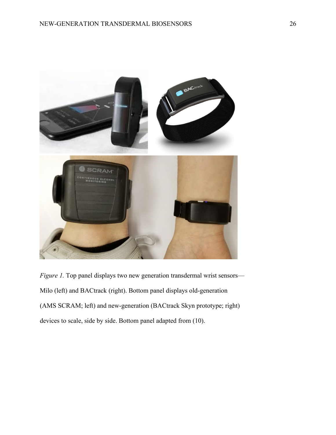

*Figure 1*. Top panel displays two new generation transdermal wrist sensors— Milo (left) and BACtrack (right). Bottom panel displays old-generation (AMS SCRAM; left) and new-generation (BACtrack Skyn prototype; right) devices to scale, side by side. Bottom panel adapted from (10).